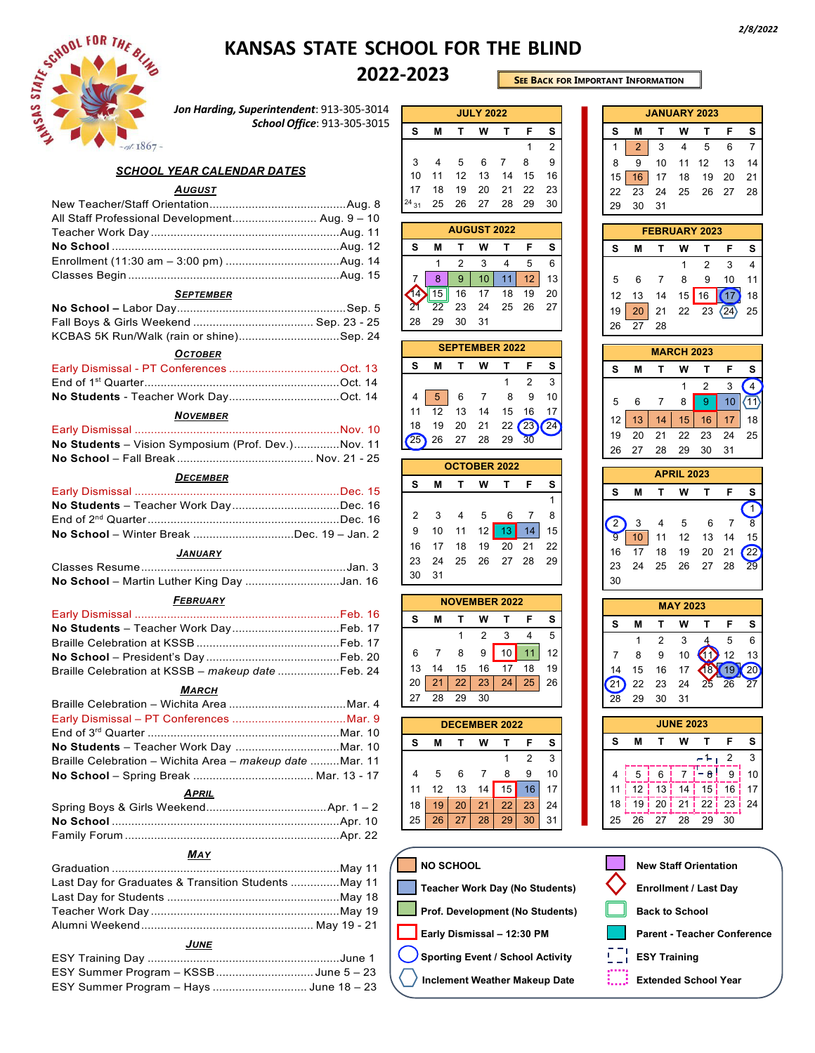

## **KANSAS STATE SCHOOL FOR THE BLIND**

## **2022-2023**

**SEE BACK FOR IMPORTANT INFORMATION**

*Jon Harding, Superintendent*: 913-305-3014 *School Office*: 913-305-3015

### *SCHOOL YEAR CALENDAR DATES*

## *AUGUST*

| All Staff Professional Development Aug. 9 - 10 |  |
|------------------------------------------------|--|
|                                                |  |
|                                                |  |
|                                                |  |
|                                                |  |

#### *SEPTEMBER*

| KCBAS 5K Run/Walk (rain or shine)Sep. 24 |  |
|------------------------------------------|--|

### *OCTOBER*

## *NOVEMBER*

| No Students - Vision Symposium (Prof. Dev.)Nov. 11 |  |
|----------------------------------------------------|--|
|                                                    |  |

#### *DECEMBER*

| No School - Winter Break Dec. 19 - Jan. 2 |  |
|-------------------------------------------|--|
| <b>JANUARY</b>                            |  |
|                                           |  |

| No School - Martin Luther King Day Jan. 16 |  |
|--------------------------------------------|--|

## *FEBRUARY*

| Braille Celebration at KSSB - makeup date  Feb. 24 |  |
|----------------------------------------------------|--|

#### *MARCH*

| Braille Celebration – Wichita Area – makeup date Mar. 11 |  |
|----------------------------------------------------------|--|
|                                                          |  |

## *MAY*

| Last Day for Graduates & Transition Students  May 11 |  |
|------------------------------------------------------|--|
|                                                      |  |
|                                                      |  |
|                                                      |  |

## *JUNE*

| ESY Summer Program – KSSBJune 5 – 23    |  |
|-----------------------------------------|--|
| ESY Summer Program - Hays  June 18 - 23 |  |
|                                         |  |

|                       |                |    | <b>JULY 2022</b>     |                 |                         |                         |  |  |  |
|-----------------------|----------------|----|----------------------|-----------------|-------------------------|-------------------------|--|--|--|
| S                     | М              | Τ  | W                    | T               | F                       | S                       |  |  |  |
|                       |                |    |                      |                 | 1                       | $\overline{\mathbf{c}}$ |  |  |  |
| 3                     | $\overline{4}$ | 5  | 6                    | 7               | 8                       | 9                       |  |  |  |
| 10                    | 11             | 12 | 13                   | 14              | 15                      | 16                      |  |  |  |
| 17                    | 18             | 19 | 20                   | 21              | 22                      | 23                      |  |  |  |
| $^{24}$ 31            | 25             | 26 | 27                   | 28              | 29                      | 30                      |  |  |  |
| <b>AUGUST 2022</b>    |                |    |                      |                 |                         |                         |  |  |  |
| s                     | М              | т  | W                    | т               | F                       | s                       |  |  |  |
|                       | 1              | 2  | 3                    | 4               | 5                       | 6                       |  |  |  |
| 7                     | 8              | 9  | 10                   | 11              | 12                      | 13                      |  |  |  |
| 14                    | 15             | 16 | 17                   | 18              | 19                      | 20                      |  |  |  |
| 21                    | 22             | 23 | 24                   | 25              | 26                      | 27                      |  |  |  |
| 28                    | 29             | 30 | 31                   |                 |                         |                         |  |  |  |
| <b>SEPTEMBER 2022</b> |                |    |                      |                 |                         |                         |  |  |  |
| S                     | М              | т  | W                    | T               | F                       | s                       |  |  |  |
|                       |                |    |                      | 1               | 2                       | 3                       |  |  |  |
| 4                     | 5              | 6  | 7                    | 8               | 9                       | 10                      |  |  |  |
| 11                    | 12             | 13 | 14                   | 15              | 16                      | 17                      |  |  |  |
| 18                    | 19             | 20 | 21                   | 22              | 23                      | 24                      |  |  |  |
| 25                    | 26             | 27 | 28                   | 29              | 30                      |                         |  |  |  |
|                       |                |    |                      |                 |                         |                         |  |  |  |
|                       |                |    |                      |                 |                         |                         |  |  |  |
|                       |                |    | <b>OCTOBER 2022</b>  |                 |                         |                         |  |  |  |
| S                     | М              | Т  | W                    | Т               | F                       | s                       |  |  |  |
|                       |                |    |                      |                 |                         | 1                       |  |  |  |
| 2                     | 3              | 4  | 5                    | 6               | 7                       | 8                       |  |  |  |
| 9                     | 10             | 11 | 12                   | $\overline{13}$ | 14                      | 15                      |  |  |  |
| 16                    | 17             | 18 | 19                   | 20              | 21                      | 22                      |  |  |  |
| 23                    | 24             | 25 | 26                   | 27              | 28                      | 29                      |  |  |  |
| 30                    | 31             |    |                      |                 |                         |                         |  |  |  |
|                       |                |    | <b>NOVEMBER 2022</b> |                 |                         |                         |  |  |  |
| S                     | М              | т  | W                    | т               | F                       | s                       |  |  |  |
|                       |                | 1  | 2                    | 3               | 4                       | 5                       |  |  |  |
| 6                     | 7              | 8  | 9                    | 10              | 11                      | 12                      |  |  |  |
| 13                    | 14             | 15 | 16                   | 17              | 18                      | 19                      |  |  |  |
|                       |                | 22 |                      | 24              | 25                      | 26                      |  |  |  |
| $20 \mid$<br>27       | 21<br>28       | 29 | 23<br>30             |                 |                         |                         |  |  |  |
|                       |                |    |                      |                 |                         |                         |  |  |  |
|                       |                |    | <b>DECEMBER 2022</b> |                 |                         |                         |  |  |  |
| s                     | Μ              | Τ  | W                    | Τ               | F                       | s                       |  |  |  |
|                       |                |    |                      | 1               | $\overline{\mathbf{c}}$ | 3                       |  |  |  |
| 4                     | 5              | 6  | 7                    | 8               | 9                       | 10                      |  |  |  |
| 11                    | 12             | 13 | 14                   | 15              | 16                      | 17                      |  |  |  |
| 18                    | 19             | 20 | 21                   | 22              | 23                      | 24                      |  |  |  |

| s                    |    |                |                  |                     |                         |                 |  |  |
|----------------------|----|----------------|------------------|---------------------|-------------------------|-----------------|--|--|
|                      |    |                |                  | <b>JANUARY 2023</b> |                         |                 |  |  |
|                      | М  | Т              | W                | Т                   | F                       | s               |  |  |
| 1                    | 2  | 3              | 4                | 5                   | 6                       | $\overline{7}$  |  |  |
| 8                    | 9  | 10             | 11               | 12                  | 13                      | 14              |  |  |
| 15                   | 16 | 17             | 18               | 19                  | 20                      | 21              |  |  |
| 22                   | 23 | 24             | 25               | 26                  | 27                      | 28              |  |  |
| 29                   | 30 | 31             |                  |                     |                         |                 |  |  |
| <b>FEBRUARY 2023</b> |    |                |                  |                     |                         |                 |  |  |
| s                    | Μ  | T              | W                | T                   | F                       | s               |  |  |
|                      |    |                | 1                | $\overline{2}$      | 3                       | $\overline{4}$  |  |  |
| 5                    | 6  | 7              | 8                | 9                   | 10                      | 11              |  |  |
| 12                   | 13 | 14             | 15               | 16                  | 17                      | 18              |  |  |
| 19                   | 20 | 21             | 22               | 23                  | (24)                    | 25              |  |  |
| 26                   | 27 | 28             |                  |                     |                         |                 |  |  |
| <b>MARCH 2023</b>    |    |                |                  |                     |                         |                 |  |  |
| s                    | М  | T              | W                | Т                   | F                       | s               |  |  |
|                      |    |                |                  |                     |                         | $\sqrt{4}$      |  |  |
|                      | 6  | 7              | 1<br>8           | 2<br>$\overline{9}$ | 3                       | $\sqrt{11}$     |  |  |
| 5                    |    |                |                  |                     | 10                      |                 |  |  |
| 12                   | 13 | 14             | 15               | 16                  | 17                      | 18              |  |  |
| 19                   | 20 | 21             | 22               | 23                  | 24                      | 25              |  |  |
| 26                   | 27 | 28             | 29               | 30                  | 31                      |                 |  |  |
| <b>APRIL 2023</b>    |    |                |                  |                     |                         |                 |  |  |
| s                    | М  | T              | W                | T                   | F                       | s               |  |  |
|                      |    |                |                  |                     |                         | 1               |  |  |
| $\overline{2}$       | 3  | 4              | 5                | 6                   | 7                       | 8               |  |  |
| 9                    | 10 | 11             | 12               | 13                  | 14                      | 15              |  |  |
|                      | 17 | 18             | 19               | 20                  | 21                      | 22              |  |  |
| 16                   |    |                | 26               | 27                  |                         |                 |  |  |
| 23                   | 24 | 25             |                  |                     | 28                      | 29              |  |  |
| 30                   |    |                |                  |                     |                         |                 |  |  |
|                      |    |                | <b>MAY 2023</b>  |                     |                         |                 |  |  |
| s                    | M  | Т              | W                | Т                   | F                       | s               |  |  |
|                      | 1  | $\overline{c}$ | 3                | 4                   | 5                       | 6               |  |  |
| 7                    | 8  | 9              | 10               |                     | 12                      | 13              |  |  |
| 14                   | 15 | 16             | 17               | 18                  | 19                      | 20              |  |  |
|                      | 22 | 23             | 24               | 25                  | 26                      | $\frac{2}{\pi}$ |  |  |
| 28                   | 29 | 30             | 31               |                     |                         |                 |  |  |
|                      |    |                | <b>JUNE 2023</b> |                     |                         |                 |  |  |
| S                    | M  | T              | W                | Τ                   | F                       | s               |  |  |
|                      |    |                |                  | 1                   | $\overline{\mathbf{c}}$ | 3               |  |  |
| 4                    | 5  | 6              | 7                | ١<br>8              | 9                       | 10              |  |  |
| 11                   | 12 | 13             | 14               | 15                  | 16                      | 17              |  |  |
| 18                   | 19 | 20             | 21               | 22                  | 23                      | 24              |  |  |
| 25                   | 26 | 27             | 28               | 29                  | 30                      |                 |  |  |